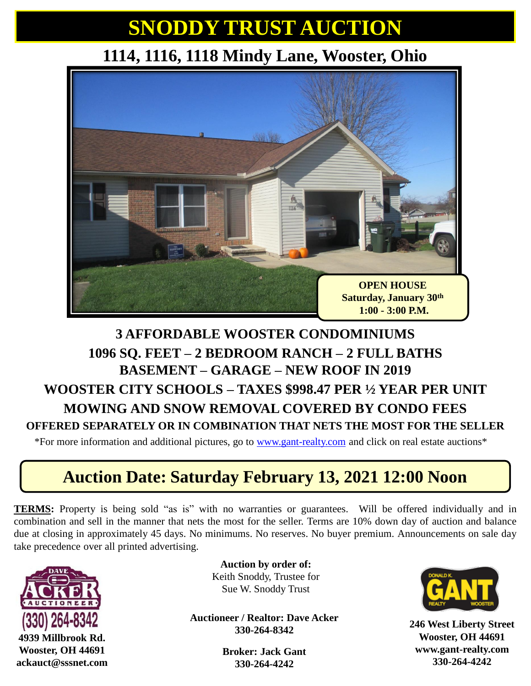## **SNODDY TRUST AUCTION**

#### **1114, 1116, 1118 Mindy Lane, Wooster, Ohio**



#### **3 AFFORDABLE WOOSTER CONDOMINIUMS 1096 SQ. FEET – 2 BEDROOM RANCH – 2 FULL BATHS BASEMENT – GARAGE – NEW ROOF IN 2019 WOOSTER CITY SCHOOLS – TAXES \$998.47 PER ½ YEAR PER UNIT MOWING AND SNOW REMOVAL COVERED BY CONDO FEES OFFERED SEPARATELY OR IN COMBINATION THAT NETS THE MOST FOR THE SELLER**

\*For more information and additional pictures, go to [www.gant-realty.com](http://www.gant-realty.com/) and click on real estate auctions\*

#### **Auction Date: Saturday February 13, 2021 12:00 Noon**

**TERMS:** Property is being sold "as is" with no warranties or guarantees. Will be offered individually and in combination and sell in the manner that nets the most for the seller. Terms are 10% down day of auction and balance due at closing in approximately 45 days. No minimums. No reserves. No buyer premium. Announcements on sale day take precedence over all printed advertising.



**Auction by order of:** Keith Snoddy, Trustee for Sue W. Snoddy Trust

**Auctioneer / Realtor: Dave Acker 330-264-8342**

> **Broker: Jack Gant 330-264-4242**



**246 West Liberty Street Wooster, OH 44691 www.gant-realty.com 330-264-4242**